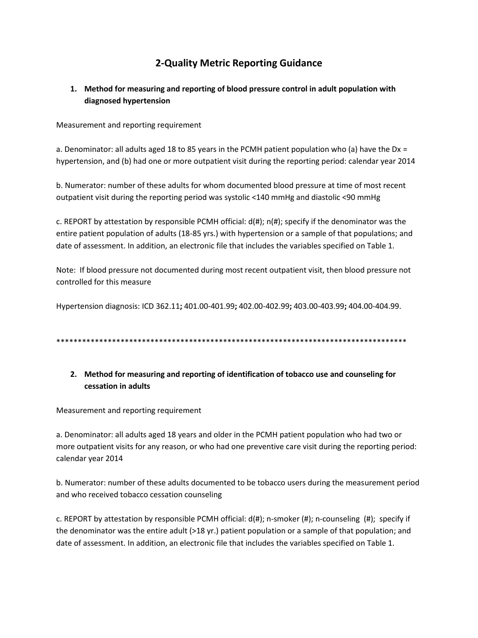# **2-Quality Metric Reporting Guidance**

## 1. Method for measuring and reporting of blood pressure control in adult population with diagnosed hypertension

Measurement and reporting requirement

a. Denominator: all adults aged 18 to 85 years in the PCMH patient population who (a) have the Dx = hypertension, and (b) had one or more outpatient visit during the reporting period: calendar year 2014

b. Numerator: number of these adults for whom documented blood pressure at time of most recent outpatient visit during the reporting period was systolic <140 mmHg and diastolic <90 mmHg

c. REPORT by attestation by responsible PCMH official: d(#); n(#); specify if the denominator was the entire patient population of adults (18-85 yrs.) with hypertension or a sample of that populations; and date of assessment. In addition, an electronic file that includes the variables specified on Table 1.

Note: If blood pressure not documented during most recent outpatient visit, then blood pressure not controlled for this measure

Hypertension diagnosis: ICD 362.11; 401.00-401.99; 402.00-402.99; 403.00-403.99; 404.00-404.99.

## 2. Method for measuring and reporting of identification of tobacco use and counseling for cessation in adults

Measurement and reporting requirement

a. Denominator: all adults aged 18 years and older in the PCMH patient population who had two or more outpatient visits for any reason, or who had one preventive care visit during the reporting period: calendar year 2014

b. Numerator: number of these adults documented to be tobacco users during the measurement period and who received tobacco cessation counseling

c. REPORT by attestation by responsible PCMH official:  $d(\#)$ ; n-smoker (#); n-counseling (#); specify if the denominator was the entire adult  $(>18$  yr.) patient population or a sample of that population; and date of assessment. In addition, an electronic file that includes the variables specified on Table 1.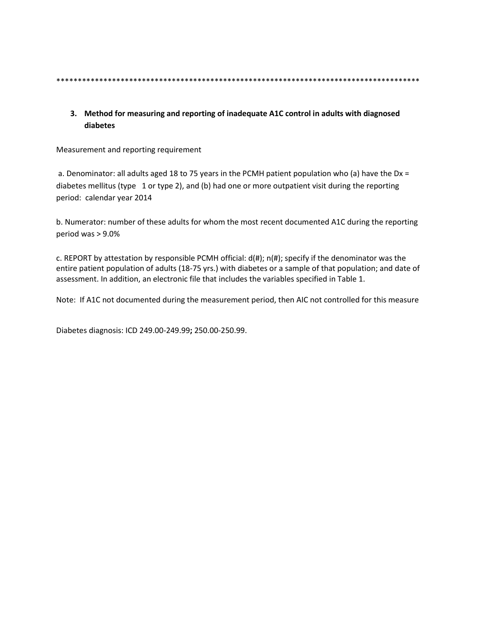#### 3. Method for measuring and reporting of inadequate A1C control in adults with diagnosed diabetes

Measurement and reporting requirement

a. Denominator: all adults aged 18 to 75 years in the PCMH patient population who (a) have the Dx = diabetes mellitus (type 1 or type 2), and (b) had one or more outpatient visit during the reporting period: calendar year 2014

b. Numerator: number of these adults for whom the most recent documented A1C during the reporting period was  $> 9.0\%$ 

c. REPORT by attestation by responsible PCMH official:  $d(\#)$ ;  $n(\#)$ ; specify if the denominator was the entire patient population of adults (18-75 yrs.) with diabetes or a sample of that population; and date of assessment. In addition, an electronic file that includes the variables specified in Table 1.

Note: If A1C not documented during the measurement period, then AIC not controlled for this measure

Diabetes diagnosis: ICD 249.00-249.99; 250.00-250.99.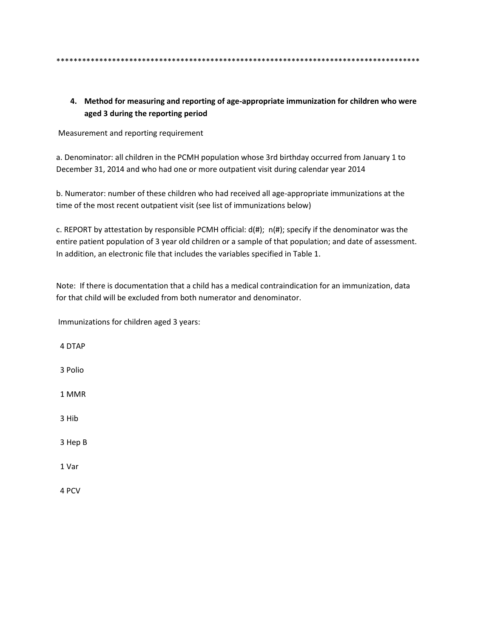#### 4. Method for measuring and reporting of age-appropriate immunization for children who were aged 3 during the reporting period

Measurement and reporting requirement

a. Denominator: all children in the PCMH population whose 3rd birthday occurred from January 1 to December 31, 2014 and who had one or more outpatient visit during calendar year 2014

b. Numerator: number of these children who had received all age-appropriate immunizations at the time of the most recent outpatient visit (see list of immunizations below)

c. REPORT by attestation by responsible PCMH official:  $d(\#)$ ;  $n(\#)$ ; specify if the denominator was the entire patient population of 3 year old children or a sample of that population; and date of assessment. In addition, an electronic file that includes the variables specified in Table 1.

Note: If there is documentation that a child has a medical contraindication for an immunization, data for that child will be excluded from both numerator and denominator.

Immunizations for children aged 3 years:

4 DTAP 3 Polio 1 MMR 3 Hib 3 Hep B 1 Var

4 PCV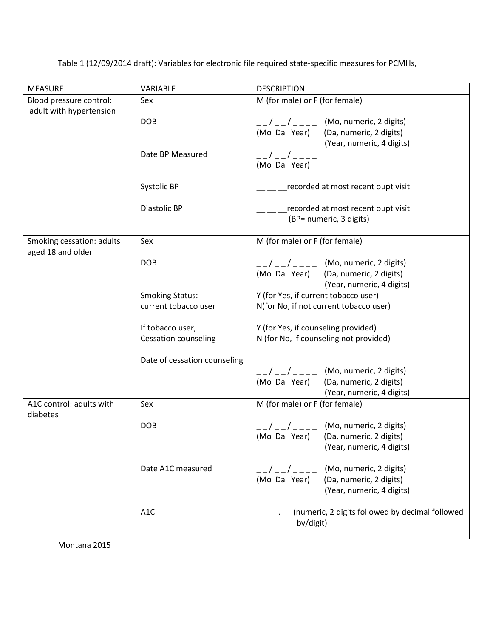Table 1 (12/09/2014 draft): Variables for electronic file required state-specific measures for PCMHs,

| <b>MEASURE</b>                                 | VARIABLE                                       | <b>DESCRIPTION</b>                                                                                                                                      |
|------------------------------------------------|------------------------------------------------|---------------------------------------------------------------------------------------------------------------------------------------------------------|
| Blood pressure control:                        | Sex                                            | M (for male) or F (for female)                                                                                                                          |
| adult with hypertension                        | <b>DOB</b>                                     | $\frac{1}{2}$ $\frac{1}{2}$ $\frac{1}{2}$ $\frac{1}{2}$ (Mo, numeric, 2 digits)<br>(Mo Da Year)<br>(Da, numeric, 2 digits)<br>(Year, numeric, 4 digits) |
|                                                | Date BP Measured                               | (Mo Da Year)                                                                                                                                            |
|                                                | Systolic BP                                    | recorded at most recent oupt visit                                                                                                                      |
|                                                | Diastolic BP                                   | recorded at most recent oupt visit<br>(BP= numeric, 3 digits)                                                                                           |
| Smoking cessation: adults<br>aged 18 and older | Sex                                            | M (for male) or F (for female)                                                                                                                          |
|                                                | <b>DOB</b>                                     | $\frac{1}{2}$ / _ _ _ (Mo, numeric, 2 digits)<br>(Mo Da Year) (Da, numeric, 2 digits)<br>(Year, numeric, 4 digits)                                      |
|                                                | <b>Smoking Status:</b><br>current tobacco user | Y (for Yes, if current tobacco user)<br>N(for No, if not current tobacco user)                                                                          |
|                                                | If tobacco user,                               | Y (for Yes, if counseling provided)                                                                                                                     |
|                                                | <b>Cessation counseling</b>                    | N (for No, if counseling not provided)                                                                                                                  |
|                                                | Date of cessation counseling                   |                                                                                                                                                         |
|                                                |                                                | $1/2$ $-1/2$ $-2$ (Mo, numeric, 2 digits)                                                                                                               |
|                                                |                                                | (Mo Da Year)<br>(Da, numeric, 2 digits)                                                                                                                 |
| A1C control: adults with                       | Sex                                            | (Year, numeric, 4 digits)<br>M (for male) or F (for female)                                                                                             |
| diabetes                                       |                                                |                                                                                                                                                         |
|                                                | <b>DOB</b>                                     | (Mo, numeric, 2 digits)                                                                                                                                 |
|                                                |                                                | (Mo Da Year)<br>(Da, numeric, 2 digits)                                                                                                                 |
|                                                |                                                | (Year, numeric, 4 digits)                                                                                                                               |
|                                                | Date A1C measured                              | (Mo, numeric, 2 digits)<br>(Mo Da Year)<br>(Da, numeric, 2 digits)<br>(Year, numeric, 4 digits)                                                         |
|                                                | A <sub>1</sub> C                               | (numeric, 2 digits followed by decimal followed<br>by/digit)                                                                                            |

Montana 2015